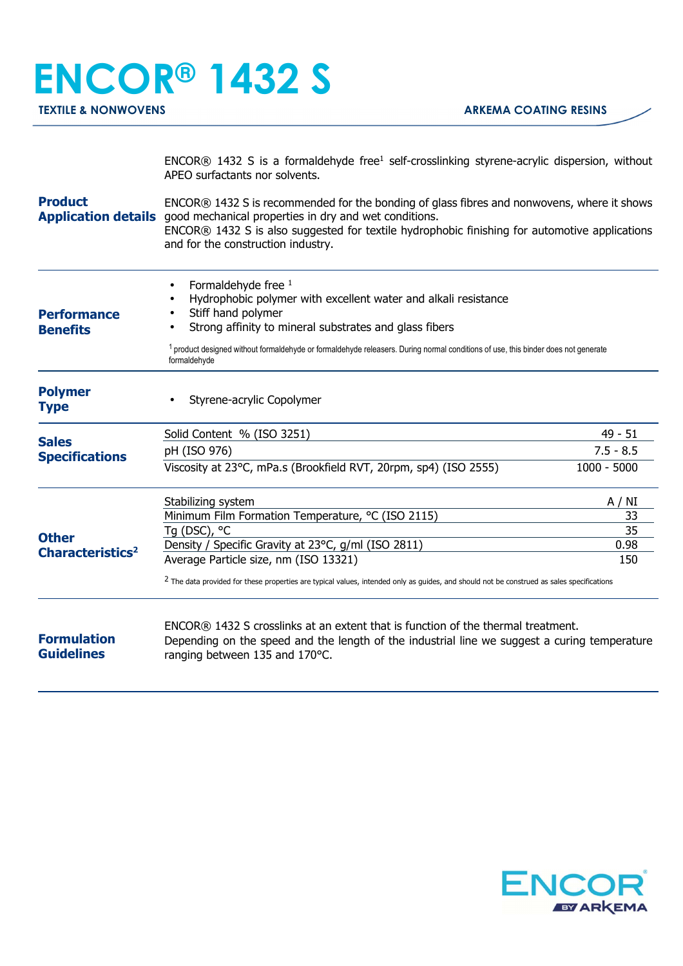## **ENCOR® 1432 S**

|                                                                       | ENCOR® 1432 S is a formaldehyde free <sup>1</sup> self-crosslinking styrene-acrylic dispersion, without<br>APEO surfactants nor solvents.                                                                                                                                                                                             |               |  |
|-----------------------------------------------------------------------|---------------------------------------------------------------------------------------------------------------------------------------------------------------------------------------------------------------------------------------------------------------------------------------------------------------------------------------|---------------|--|
| <b>Product</b>                                                        | ENCOR® 1432 S is recommended for the bonding of glass fibres and nonwovens, where it shows<br><b>Application details</b> good mechanical properties in dry and wet conditions.<br>ENCOR® 1432 S is also suggested for textile hydrophobic finishing for automotive applications<br>and for the construction industry.                 |               |  |
| <b>Performance</b><br><b>Benefits</b>                                 | Formaldehyde free 1<br>Hydrophobic polymer with excellent water and alkali resistance<br>Stiff hand polymer<br>Strong affinity to mineral substrates and glass fibers<br><sup>1</sup> product designed without formaldehyde or formaldehyde releasers. During normal conditions of use, this binder does not generate<br>formaldehyde |               |  |
| <b>Polymer</b><br><b>Type</b>                                         | Styrene-acrylic Copolymer                                                                                                                                                                                                                                                                                                             |               |  |
| <b>Sales</b>                                                          | Solid Content % (ISO 3251)                                                                                                                                                                                                                                                                                                            | $49 - 51$     |  |
|                                                                       | pH (ISO 976)                                                                                                                                                                                                                                                                                                                          | $7.5 - 8.5$   |  |
| <b>Specifications</b><br><b>Other</b><br>Characteristics <sup>2</sup> | Viscosity at 23°C, mPa.s (Brookfield RVT, 20rpm, sp4) (ISO 2555)                                                                                                                                                                                                                                                                      | $1000 - 5000$ |  |
|                                                                       | Stabilizing system                                                                                                                                                                                                                                                                                                                    | A / NI        |  |
|                                                                       | Minimum Film Formation Temperature, °C (ISO 2115)                                                                                                                                                                                                                                                                                     | 33            |  |
|                                                                       | Tg (DSC), °C                                                                                                                                                                                                                                                                                                                          | 35            |  |
|                                                                       | Density / Specific Gravity at 23°C, g/ml (ISO 2811)                                                                                                                                                                                                                                                                                   | 0.98          |  |
|                                                                       | Average Particle size, nm (ISO 13321)                                                                                                                                                                                                                                                                                                 | 150           |  |
|                                                                       | <sup>2</sup> The data provided for these properties are typical values, intended only as guides, and should not be construed as sales specifications                                                                                                                                                                                  |               |  |
| <b>Formulation</b><br><b>Guidelines</b>                               | ENCOR® 1432 S crosslinks at an extent that is function of the thermal treatment.<br>Depending on the speed and the length of the industrial line we suggest a curing temperature<br>ranging between 135 and 170°C.                                                                                                                    |               |  |